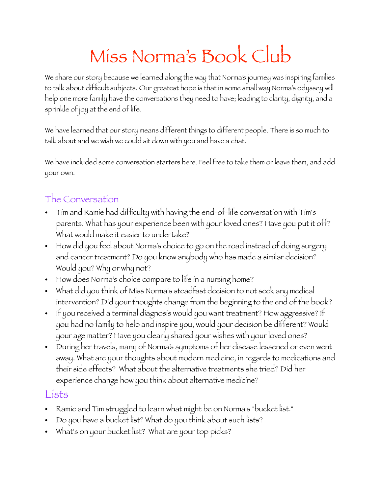# Miss Norma's Book Club

We share our story because we learned along the way that Norma's journey was inspiring families to talk about difficult subjects. Our greatest hope is that in some small way Norma's odyssey will help one more family have the conversations they need to have; leading to clarity, dignity, and a sprinkle of joy at the end of life.

We have learned that our story means different things to different people. There is so much to talk about and we wish we could sit down with you and have a chat.

We have included some conversation starters here. Feel free to take them or leave them, and add your own.

#### The Conversation

- Tim and Ramie had difficulty with having the end-of-life conversation with Tim's parents. What has your experience been with your loved ones? Have you put it off? What would make it easier to undertake?
- How did you feel about Norma's choice to go on the road instead of doing surgery and cancer treatment? Do you know anybody who has made a similar decision? Would you? Why or why not?
- How does Norma's choice compare to life in a nursing home?
- What did you think of Miss Norma's steadfast decision to not seek any medical intervention? Did your thoughts change from the beginning to the end of the book?
- If you received a terminal diagnosis would you want treatment? How aggressive? If you had no family to help and inspire you, would your decision be different? Would your age matter? Have you clearly shared your wishes with your loved ones?
- During her travels, many of Norma's symptoms of her disease lessened or even went away. What are your thoughts about modern medicine, in regards to medications and their side effects? What about the alternative treatments she tried? Did her experience change how you think about alternative medicine?

#### Lists

- Ramie and Tim struggled to learn what might be on Norma's "bucket list."
- Do you have a bucket list? What do you think about such lists?
- What's on your bucket list? What are your top picks?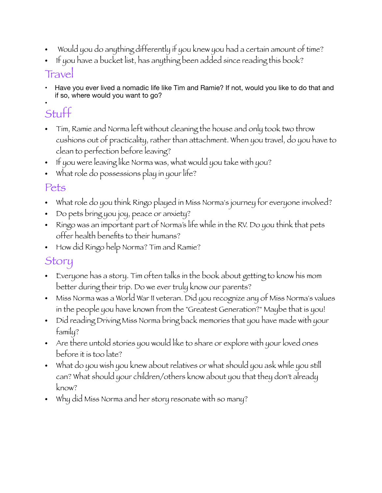- Would you do anything differently if you knew you had a certain amount of time?
- If you have a bucket list, has anything been added since reading this book?

#### **Travel**

• Have you ever lived a nomadic life like Tim and Ramie? If not, would you like to do that and if so, where would you want to go?

#### • Stuff

- Tim, Ramie and Norma left without cleaning the house and only took two throw cushions out of practicality, rather than attachment. When you travel, do you have to clean to perfection before leaving?
- If you were leaving like Norma was, what would you take with you?
- What role do possessions play in your life?

#### Pets

- What role do you think Ringo played in Miss Norma's journey for everyone involved?
- Do pets bring you joy, peace or anxiety?
- Ringo was an important part of Norma's life while in the RV. Do you think that pets offer health benefits to their humans?
- How did Ringo help Norma? Tim and Ramie?

### Story

- Everyone has a story. Tim often talks in the book about getting to know his mom better during their trip. Do we ever truly know our parents?
- Miss Norma was a World War II veteran. Did you recognize any of Miss Norma's values in the people you have known from the "Greatest Generation?" Maybe that is you!
- Did reading Driving Miss Norma bring back memories that you have made with your family?
- Are there untold stories you would like to share or explore with your loved ones before it is too late?
- What do you wish you knew about relatives or what should you ask while you still can? What should your children/others know about you that they don't already know?
- Why did Miss Norma and her story resonate with so many?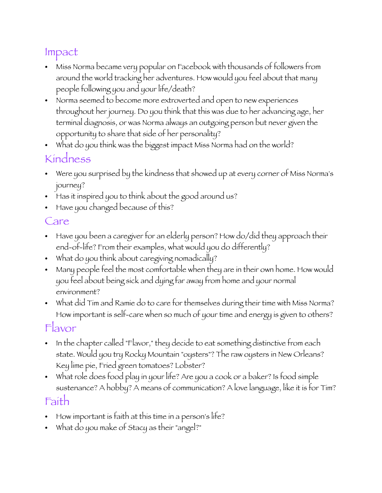# Impact

- Miss Norma became very popular on Facebook with thousands of followers from around the world tracking her adventures. How would you feel about that many people following you and your life/death?
- Norma seemed to become more extroverted and open to new experiences throughout her journey. Do you think that this was due to her advancing age, her terminal diagnosis, or was Norma always an outgoing person but never given the opportunity to share that side of her personality?
- What do you think was the biggest impact Miss Norma had on the world?

#### Kindness

- Were you surprised by the kindness that showed up at every corner of Miss Norma's journey?
- Has it inspired you to think about the good around us?
- Have you changed because of this?

# Care

- Have you been a caregiver for an elderly person? How do/did they approach their end-of-life? From their examples, what would you do differently?
- What do you think about caregiving nomadically?
- Many people feel the most comfortable when they are in their own home. How would you feel about being sick and dying far away from home and your normal environment?
- What did Tim and Ramie do to care for themselves during their time with Miss Norma? How important is self-care when so much of your time and energy is given to others?

## Flavor

- In the chapter called "Flavor," they decide to eat something distinctive from each state. Would you try Rocky Mountain "oysters"? The raw oysters in New Orleans? Key lime pie, Fried green tomatoes? Lobster?
- What role does food play in your life? Are you a cook or a baker? Is food simple sustenance? A hobby? A means of communication? A love language, like it is for Tim?

# Faith

- How important is faith at this time in a person's life?
- What do you make of Stacy as their "angel?"